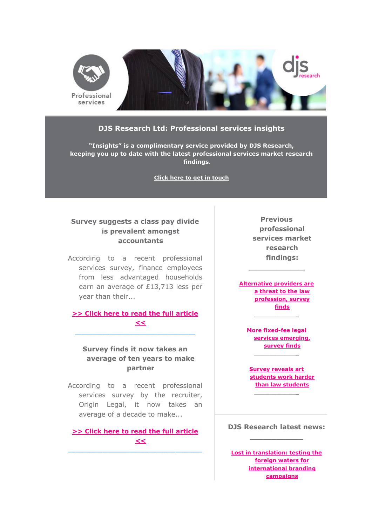

### **DJS Research Ltd: Professional services insights**

**"Insights" is a complimentary service provided by DJS Research, keeping you up to date with the latest professional services market research findings**.

**[Click here to get in touch](mailto:contact@djsresearch.com?subject=Professional%20services%20newsletter)**

# **Survey suggests a class pay divide is prevalent amongst accountants**

According to a recent professional services survey, finance employees from less advantaged households earn an average of £13,713 less per year than their...

**[>> Click here to read the full article](http://www.djsresearch.co.uk/ProfessionalServicesMarketResearchInsightsAndFindings/article/Survey-suggests-a-class-pay-divide-is-prevalent-amongst-accountants-03479)  [<<](http://www.djsresearch.co.uk/ProfessionalServicesMarketResearchInsightsAndFindings/article/Survey-suggests-a-class-pay-divide-is-prevalent-amongst-accountants-03479)**

\_\_\_\_\_\_\_\_\_\_\_\_\_\_\_\_\_\_\_\_\_\_\_\_\_\_\_\_\_\_\_\_\_\_\_

**Survey finds it now takes an average of ten years to make partner**

According to a recent professional services survey by the recruiter, Origin Legal, it now takes an average of a decade to make...

**[>> Click here to read the full article](http://www.djsresearch.co.uk/ProfessionalServicesMarketResearchInsightsAndFindings/article/Survey-finds-it-now-takes-an-average-of-ten-years-to-make-partner-03385)  [<<](http://www.djsresearch.co.uk/ProfessionalServicesMarketResearchInsightsAndFindings/article/Survey-finds-it-now-takes-an-average-of-ten-years-to-make-partner-03385)  \_\_\_\_\_\_\_\_\_\_\_\_\_\_\_\_\_\_\_\_\_\_\_\_\_\_\_\_\_\_\_\_\_\_\_**

**Previous professional services market research findings:**

**[Alternative providers are](http://www.djsresearch.co.uk/ProfessionalServicesMarketResearchInsightsAndFindings/article/Alternative-providers-are-a-threat-to-the-law-profession-survey-finds-03309)  [a threat to the law](http://www.djsresearch.co.uk/ProfessionalServicesMarketResearchInsightsAndFindings/article/Alternative-providers-are-a-threat-to-the-law-profession-survey-finds-03309)  [profession, survey](http://www.djsresearch.co.uk/ProfessionalServicesMarketResearchInsightsAndFindings/article/Alternative-providers-are-a-threat-to-the-law-profession-survey-finds-03309)  [finds](http://www.djsresearch.co.uk/ProfessionalServicesMarketResearchInsightsAndFindings/article/Alternative-providers-are-a-threat-to-the-law-profession-survey-finds-03309) \_\_\_\_\_\_\_\_\_\_\_\_**

**\_\_\_\_\_\_\_\_\_\_\_\_**

**[More fixed-fee legal](http://www.djsresearch.co.uk/ProfessionalServicesMarketResearchInsightsAndFindings/article/More-fixed-fee-legal-services-emerging-survey-finds-03239)  [services emerging,](http://www.djsresearch.co.uk/ProfessionalServicesMarketResearchInsightsAndFindings/article/More-fixed-fee-legal-services-emerging-survey-finds-03239)  [survey finds](http://www.djsresearch.co.uk/ProfessionalServicesMarketResearchInsightsAndFindings/article/More-fixed-fee-legal-services-emerging-survey-finds-03239) \_\_\_\_\_\_\_\_\_\_\_\_**

**[Survey reveals art](http://www.djsresearch.co.uk/ProfessionalServicesMarketResearchInsightsAndFindings/article/Survey-reveals-art-students-work-harder-than-law-students-03187)  [students work harder](http://www.djsresearch.co.uk/ProfessionalServicesMarketResearchInsightsAndFindings/article/Survey-reveals-art-students-work-harder-than-law-students-03187)  [than law students](http://www.djsresearch.co.uk/ProfessionalServicesMarketResearchInsightsAndFindings/article/Survey-reveals-art-students-work-harder-than-law-students-03187)**

**DJS Research latest news: \_\_\_\_\_\_\_\_\_\_\_\_**

**\_\_\_\_\_\_\_\_\_\_\_\_**

**[Lost in translation: testing the](http://www.djsresearch.co.uk/news/article/Lost-in-translation-testing-the-foreign-waters-for-international-branding-campaigns)  [foreign waters for](http://www.djsresearch.co.uk/news/article/Lost-in-translation-testing-the-foreign-waters-for-international-branding-campaigns)  [international branding](http://www.djsresearch.co.uk/news/article/Lost-in-translation-testing-the-foreign-waters-for-international-branding-campaigns)  [campaigns](http://www.djsresearch.co.uk/news/article/Lost-in-translation-testing-the-foreign-waters-for-international-branding-campaigns)**